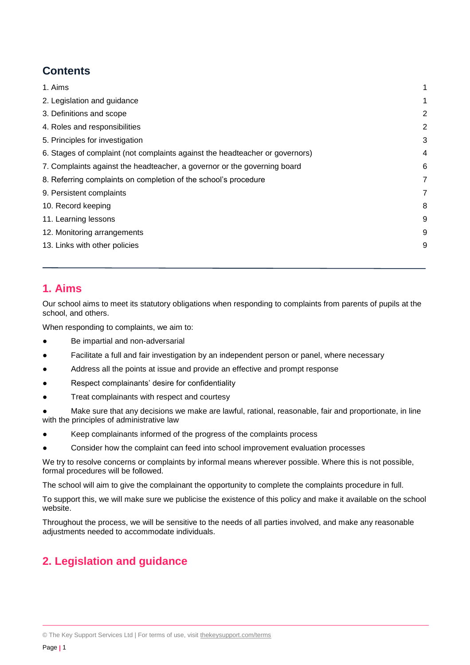# <span id="page-0-0"></span>**Contents**

| 1. Aims                                                                      | 1              |
|------------------------------------------------------------------------------|----------------|
| 2. Legislation and guidance                                                  | 1              |
| 3. Definitions and scope                                                     | $\overline{2}$ |
| 4. Roles and responsibilities                                                | $\overline{2}$ |
| 5. Principles for investigation                                              | 3              |
| 6. Stages of complaint (not complaints against the headteacher or governors) | 4              |
| 7. Complaints against the headteacher, a governor or the governing board     | 6              |
| 8. Referring complaints on completion of the school's procedure              | $\overline{7}$ |
| 9. Persistent complaints                                                     | 7              |
| 10. Record keeping                                                           | 8              |
| 11. Learning lessons                                                         | 9              |
| 12. Monitoring arrangements                                                  | 9              |
| 13. Links with other policies                                                | 9              |
|                                                                              |                |

## **1. Aims**

Our school aims to meet its statutory obligations when responding to complaints from parents of pupils at the school, and others.

When responding to complaints, we aim to:

- Be impartial and non-adversarial
- Facilitate a full and fair investigation by an independent person or panel, where necessary
- Address all the points at issue and provide an effective and prompt response
- Respect complainants' desire for confidentiality
- Treat complainants with respect and courtesy
- Make sure that any decisions we make are lawful, rational, reasonable, fair and proportionate, in line with the principles of administrative law
- Keep complainants informed of the progress of the complaints process
- Consider how the complaint can feed into school improvement evaluation processes

We try to resolve concerns or complaints by informal means wherever possible. Where this is not possible, formal procedures will be followed.

The school will aim to give the complainant the opportunity to complete the complaints procedure in full.

To support this, we will make sure we publicise the existence of this policy and make it available on the school website.

Throughout the process, we will be sensitive to the needs of all parties involved, and make any reasonable adjustments needed to accommodate individuals.

# <span id="page-0-1"></span>**2. Legislation and guidance**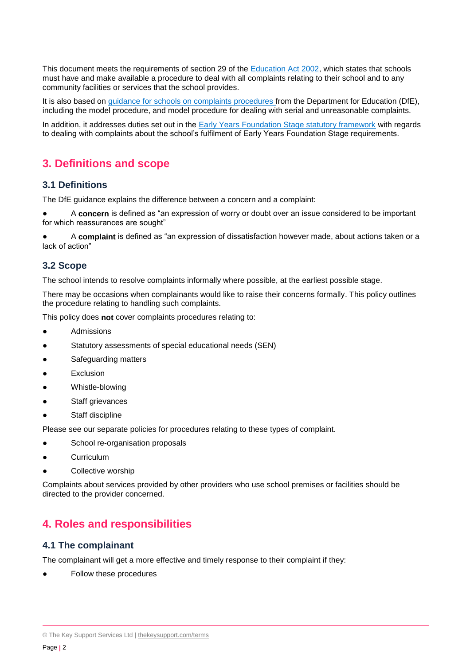This document meets the requirements of section 29 of the **Education Act 2002**, which states that schools must have and make available a procedure to deal with all complaints relating to their school and to any community facilities or services that the school provides.

It is also based on [guidance for schools on complaints procedures](https://www.gov.uk/government/publications/school-complaints-procedures) from the Department for Education (DfE), including the model procedure, and model procedure for dealing with serial and unreasonable complaints.

In addition, it addresses duties set out in the **Early Years Foundation Stage statutory framework** with regards to dealing with complaints about the school's fulfilment of Early Years Foundation Stage requirements.

## <span id="page-1-0"></span>**3. Definitions and scope**

#### **3.1 Definitions**

The DfE guidance explains the difference between a concern and a complaint:

● A **concern** is defined as "an expression of worry or doubt over an issue considered to be important for which reassurances are sought"

A **complaint** is defined as "an expression of dissatisfaction however made, about actions taken or a lack of action"

## **3.2 Scope**

The school intends to resolve complaints informally where possible, at the earliest possible stage.

There may be occasions when complainants would like to raise their concerns formally. This policy outlines the procedure relating to handling such complaints.

This policy does **not** cover complaints procedures relating to:

- **Admissions**
- Statutory assessments of special educational needs (SEN)
- Safeguarding matters
- **Exclusion**
- Whistle-blowing
- Staff grievances
- Staff discipline

Please see our separate policies for procedures relating to these types of complaint.

- School re-organisation proposals
- Curriculum
- Collective worship

Complaints about services provided by other providers who use school premises or facilities should be directed to the provider concerned.

## <span id="page-1-1"></span>**4. Roles and responsibilities**

#### **4.1 The complainant**

The complainant will get a more effective and timely response to their complaint if they:

Follow these procedures

<sup>©</sup> The Key Support Services Ltd | [thekeysupport.com/terms](https://thekeysupport.com/terms-of-use)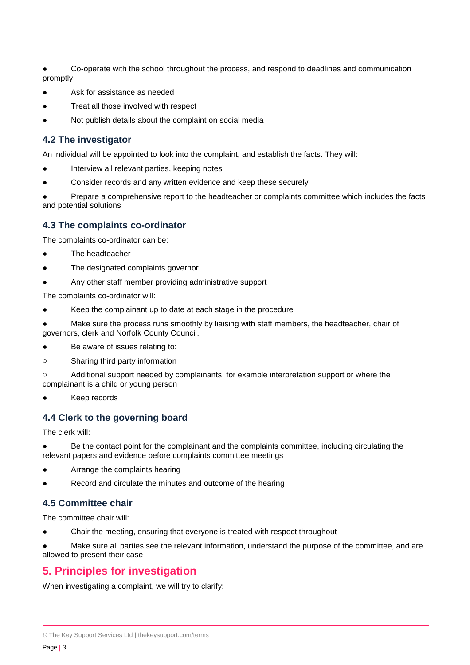Co-operate with the school throughout the process, and respond to deadlines and communication promptly

- Ask for assistance as needed
- Treat all those involved with respect
- Not publish details about the complaint on social media

### **4.2 The investigator**

An individual will be appointed to look into the complaint, and establish the facts. They will:

- Interview all relevant parties, keeping notes
- Consider records and any written evidence and keep these securely

Prepare a comprehensive report to the headteacher or complaints committee which includes the facts and potential solutions

### **4.3 The complaints co-ordinator**

The complaints co-ordinator can be:

- The headteacher
- The designated complaints governor
- Any other staff member providing administrative support

The complaints co-ordinator will:

- Keep the complainant up to date at each stage in the procedure
- Make sure the process runs smoothly by liaising with staff members, the headteacher, chair of governors, clerk and Norfolk County Council.
- Be aware of issues relating to:
- o Sharing third party information

o Additional support needed by complainants, for example interpretation support or where the complainant is a child or young person

Keep records

#### **4.4 Clerk to the governing board**

The clerk will:

Be the contact point for the complainant and the complaints committee, including circulating the relevant papers and evidence before complaints committee meetings

- Arrange the complaints hearing
- Record and circulate the minutes and outcome of the hearing

## **4.5 Committee chair**

The committee chair will:

Chair the meeting, ensuring that everyone is treated with respect throughout

<span id="page-2-0"></span>Make sure all parties see the relevant information, understand the purpose of the committee, and are allowed to present their case

## **5. Principles for investigation**

When investigating a complaint, we will try to clarify:

<sup>©</sup> The Key Support Services Ltd | [thekeysupport.com/terms](https://thekeysupport.com/terms-of-use)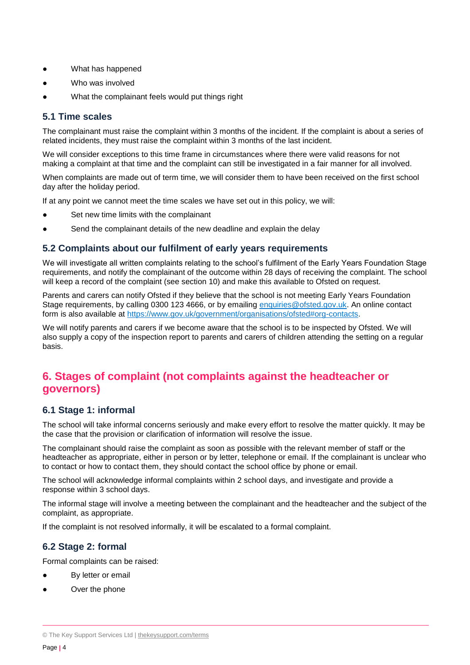- What has happened
- Who was involved
- What the complainant feels would put things right

### **5.1 Time scales**

The complainant must raise the complaint within 3 months of the incident. If the complaint is about a series of related incidents, they must raise the complaint within 3 months of the last incident.

We will consider exceptions to this time frame in circumstances where there were valid reasons for not making a complaint at that time and the complaint can still be investigated in a fair manner for all involved.

When complaints are made out of term time, we will consider them to have been received on the first school day after the holiday period.

If at any point we cannot meet the time scales we have set out in this policy, we will:

- Set new time limits with the complainant
- Send the complainant details of the new deadline and explain the delay

### **5.2 Complaints about our fulfilment of early years requirements**

We will investigate all written complaints relating to the school's fulfilment of the Early Years Foundation Stage requirements, and notify the complainant of the outcome within 28 days of receiving the complaint. The school will keep a record of the complaint (see section 10) and make this available to Ofsted on request.

Parents and carers can notify Ofsted if they believe that the school is not meeting Early Years Foundation Stage requirements, by calling 0300 123 4666, or by emailing [enquiries@ofsted.gov.uk.](mailto:enquiries@ofsted.gov.uk) An online contact form is also available at [https://www.gov.uk/government/organisations/ofsted#org-contacts.](https://www.gov.uk/government/organisations/ofsted#org-contacts)

We will notify parents and carers if we become aware that the school is to be inspected by Ofsted. We will also supply a copy of the inspection report to parents and carers of children attending the setting on a regular basis.

## <span id="page-3-0"></span>**6. Stages of complaint (not complaints against the headteacher or governors)**

#### **6.1 Stage 1: informal**

The school will take informal concerns seriously and make every effort to resolve the matter quickly. It may be the case that the provision or clarification of information will resolve the issue.

The complainant should raise the complaint as soon as possible with the relevant member of staff or the headteacher as appropriate, either in person or by letter, telephone or email. If the complainant is unclear who to contact or how to contact them, they should contact the school office by phone or email.

The school will acknowledge informal complaints within 2 school days, and investigate and provide a response within 3 school days.

The informal stage will involve a meeting between the complainant and the headteacher and the subject of the complaint, as appropriate.

If the complaint is not resolved informally, it will be escalated to a formal complaint.

## **6.2 Stage 2: formal**

Formal complaints can be raised:

- By letter or email
- Over the phone

<sup>©</sup> The Key Support Services Ltd | [thekeysupport.com/terms](https://thekeysupport.com/terms-of-use)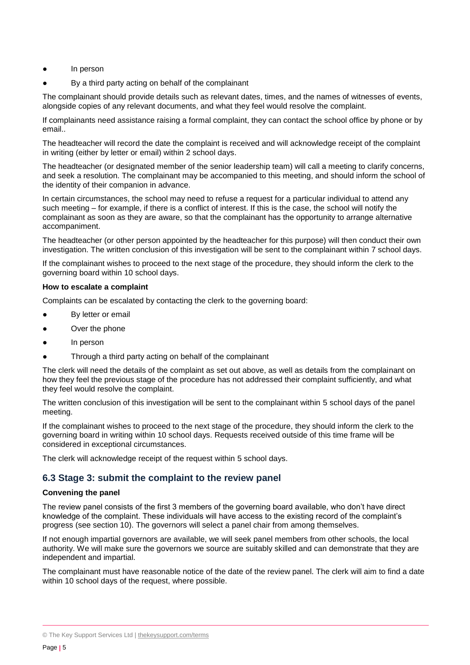- In person
- By a third party acting on behalf of the complainant

The complainant should provide details such as relevant dates, times, and the names of witnesses of events, alongside copies of any relevant documents, and what they feel would resolve the complaint.

If complainants need assistance raising a formal complaint, they can contact the school office by phone or by email..

The headteacher will record the date the complaint is received and will acknowledge receipt of the complaint in writing (either by letter or email) within 2 school days.

The headteacher (or designated member of the senior leadership team) will call a meeting to clarify concerns, and seek a resolution. The complainant may be accompanied to this meeting, and should inform the school of the identity of their companion in advance.

In certain circumstances, the school may need to refuse a request for a particular individual to attend any such meeting – for example, if there is a conflict of interest. If this is the case, the school will notify the complainant as soon as they are aware, so that the complainant has the opportunity to arrange alternative accompaniment.

The headteacher (or other person appointed by the headteacher for this purpose) will then conduct their own investigation. The written conclusion of this investigation will be sent to the complainant within 7 school days.

If the complainant wishes to proceed to the next stage of the procedure, they should inform the clerk to the governing board within 10 school days.

#### **How to escalate a complaint**

Complaints can be escalated by contacting the clerk to the governing board:

- By letter or email
- Over the phone
- In person
- Through a third party acting on behalf of the complainant

The clerk will need the details of the complaint as set out above, as well as details from the complainant on how they feel the previous stage of the procedure has not addressed their complaint sufficiently, and what they feel would resolve the complaint.

The written conclusion of this investigation will be sent to the complainant within 5 school days of the panel meeting.

If the complainant wishes to proceed to the next stage of the procedure, they should inform the clerk to the governing board in writing within 10 school days. Requests received outside of this time frame will be considered in exceptional circumstances.

The clerk will acknowledge receipt of the request within 5 school days.

## **6.3 Stage 3: submit the complaint to the review panel**

#### **Convening the panel**

The review panel consists of the first 3 members of the governing board available, who don't have direct knowledge of the complaint. These individuals will have access to the existing record of the complaint's progress (see section 10). The governors will select a panel chair from among themselves.

If not enough impartial governors are available, we will seek panel members from other schools, the local authority. We will make sure the governors we source are suitably skilled and can demonstrate that they are independent and impartial.

The complainant must have reasonable notice of the date of the review panel. The clerk will aim to find a date within 10 school days of the request, where possible.

<sup>©</sup> The Key Support Services Ltd | [thekeysupport.com/terms](https://thekeysupport.com/terms-of-use)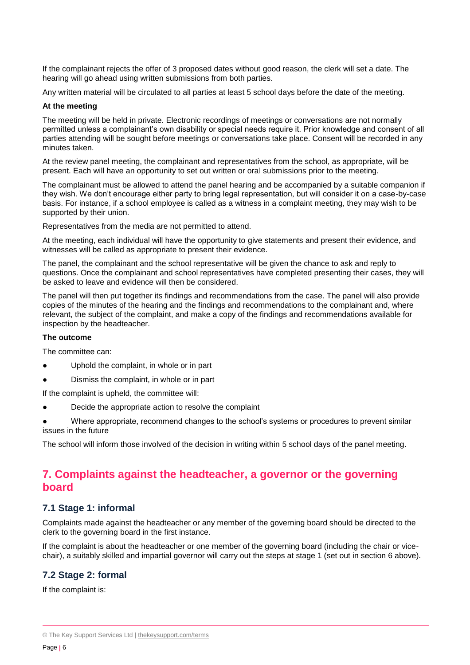If the complainant rejects the offer of 3 proposed dates without good reason, the clerk will set a date. The hearing will go ahead using written submissions from both parties.

Any written material will be circulated to all parties at least 5 school days before the date of the meeting.

#### **At the meeting**

The meeting will be held in private. Electronic recordings of meetings or conversations are not normally permitted unless a complainant's own disability or special needs require it. Prior knowledge and consent of all parties attending will be sought before meetings or conversations take place. Consent will be recorded in any minutes taken.

At the review panel meeting, the complainant and representatives from the school, as appropriate, will be present. Each will have an opportunity to set out written or oral submissions prior to the meeting.

The complainant must be allowed to attend the panel hearing and be accompanied by a suitable companion if they wish. We don't encourage either party to bring legal representation, but will consider it on a case-by-case basis. For instance, if a school employee is called as a witness in a complaint meeting, they may wish to be supported by their union.

Representatives from the media are not permitted to attend.

At the meeting, each individual will have the opportunity to give statements and present their evidence, and witnesses will be called as appropriate to present their evidence.

The panel, the complainant and the school representative will be given the chance to ask and reply to questions. Once the complainant and school representatives have completed presenting their cases, they will be asked to leave and evidence will then be considered.

The panel will then put together its findings and recommendations from the case. The panel will also provide copies of the minutes of the hearing and the findings and recommendations to the complainant and, where relevant, the subject of the complaint, and make a copy of the findings and recommendations available for inspection by the headteacher.

#### **The outcome**

The committee can:

- Uphold the complaint, in whole or in part
- Dismiss the complaint, in whole or in part

If the complaint is upheld, the committee will:

- Decide the appropriate action to resolve the complaint
- Where appropriate, recommend changes to the school's systems or procedures to prevent similar issues in the future

<span id="page-5-0"></span>The school will inform those involved of the decision in writing within 5 school days of the panel meeting.

## **7. Complaints against the headteacher, a governor or the governing board**

## **7.1 Stage 1: informal**

Complaints made against the headteacher or any member of the governing board should be directed to the clerk to the governing board in the first instance.

If the complaint is about the headteacher or one member of the governing board (including the chair or vicechair), a suitably skilled and impartial governor will carry out the steps at stage 1 (set out in section 6 above).

## **7.2 Stage 2: formal**

If the complaint is:

<sup>©</sup> The Key Support Services Ltd | [thekeysupport.com/terms](https://thekeysupport.com/terms-of-use)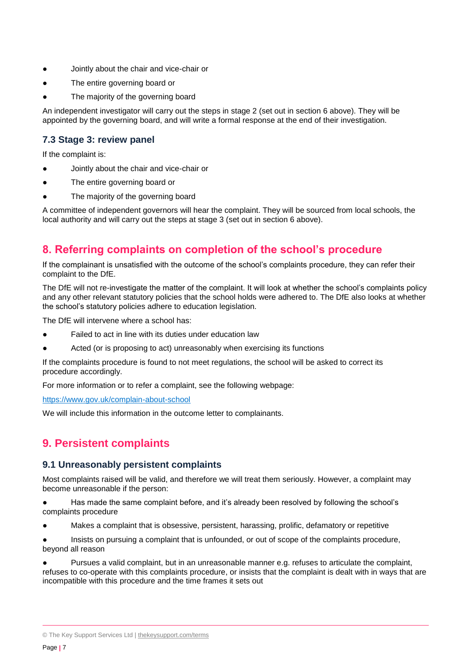- Jointly about the chair and vice-chair or
- The entire governing board or
- The majority of the governing board

An independent investigator will carry out the steps in stage 2 (set out in section 6 above). They will be appointed by the governing board, and will write a formal response at the end of their investigation.

## **7.3 Stage 3: review panel**

If the complaint is:

- Jointly about the chair and vice-chair or
- The entire governing board or
- The majority of the governing board

A committee of independent governors will hear the complaint. They will be sourced from local schools, the local authority and will carry out the steps at stage 3 (set out in section 6 above).

## <span id="page-6-0"></span>**8. Referring complaints on completion of the school's procedure**

If the complainant is unsatisfied with the outcome of the school's complaints procedure, they can refer their complaint to the DfE.

The DfE will not re-investigate the matter of the complaint. It will look at whether the school's complaints policy and any other relevant statutory policies that the school holds were adhered to. The DfE also looks at whether the school's statutory policies adhere to education legislation.

The DfE will intervene where a school has:

- Failed to act in line with its duties under education law
- Acted (or is proposing to act) unreasonably when exercising its functions

If the complaints procedure is found to not meet regulations, the school will be asked to correct its procedure accordingly.

For more information or to refer a complaint, see the following webpage:

<https://www.gov.uk/complain-about-school>

We will include this information in the outcome letter to complainants.

## <span id="page-6-1"></span>**9. Persistent complaints**

## **9.1 Unreasonably persistent complaints**

Most complaints raised will be valid, and therefore we will treat them seriously. However, a complaint may become unreasonable if the person:

● Has made the same complaint before, and it's already been resolved by following the school's complaints procedure

Makes a complaint that is obsessive, persistent, harassing, prolific, defamatory or repetitive

Insists on pursuing a complaint that is unfounded, or out of scope of the complaints procedure, beyond all reason

Pursues a valid complaint, but in an unreasonable manner e.g. refuses to articulate the complaint, refuses to co-operate with this complaints procedure, or insists that the complaint is dealt with in ways that are incompatible with this procedure and the time frames it sets out

<sup>©</sup> The Key Support Services Ltd | [thekeysupport.com/terms](https://thekeysupport.com/terms-of-use)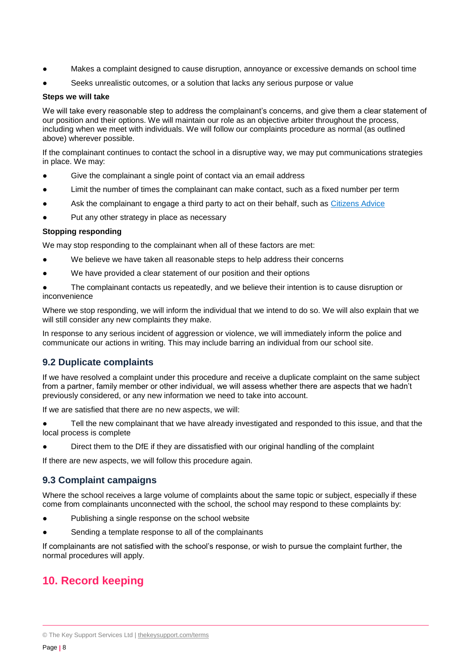- Makes a complaint designed to cause disruption, annoyance or excessive demands on school time
- Seeks unrealistic outcomes, or a solution that lacks any serious purpose or value

#### **Steps we will take**

We will take every reasonable step to address the complainant's concerns, and give them a clear statement of our position and their options. We will maintain our role as an objective arbiter throughout the process, including when we meet with individuals. We will follow our complaints procedure as normal (as outlined above) wherever possible.

If the complainant continues to contact the school in a disruptive way, we may put communications strategies in place. We may:

- Give the complainant a single point of contact via an email address
- Limit the number of times the complainant can make contact, such as a fixed number per term
- Ask the complainant to engage a third party to act on their behalf, such as [Citizens Advice](https://www.citizensadvice.org.uk/)
- Put any other strategy in place as necessary

#### **Stopping responding**

We may stop responding to the complainant when all of these factors are met:

- We believe we have taken all reasonable steps to help address their concerns
- We have provided a clear statement of our position and their options
- The complainant contacts us repeatedly, and we believe their intention is to cause disruption or inconvenience

Where we stop responding, we will inform the individual that we intend to do so. We will also explain that we will still consider any new complaints they make.

In response to any serious incident of aggression or violence, we will immediately inform the police and communicate our actions in writing. This may include barring an individual from our school site.

## **9.2 Duplicate complaints**

If we have resolved a complaint under this procedure and receive a duplicate complaint on the same subject from a partner, family member or other individual, we will assess whether there are aspects that we hadn't previously considered, or any new information we need to take into account.

If we are satisfied that there are no new aspects, we will:

Tell the new complainant that we have already investigated and responded to this issue, and that the local process is complete

Direct them to the DfE if they are dissatisfied with our original handling of the complaint

If there are new aspects, we will follow this procedure again.

## **9.3 Complaint campaigns**

Where the school receives a large volume of complaints about the same topic or subject, especially if these come from complainants unconnected with the school, the school may respond to these complaints by:

- Publishing a single response on the school website
- Sending a template response to all of the complainants

<span id="page-7-0"></span>If complainants are not satisfied with the school's response, or wish to pursue the complaint further, the normal procedures will apply.

## **10. Record keeping**

<sup>©</sup> The Key Support Services Ltd | [thekeysupport.com/terms](https://thekeysupport.com/terms-of-use)